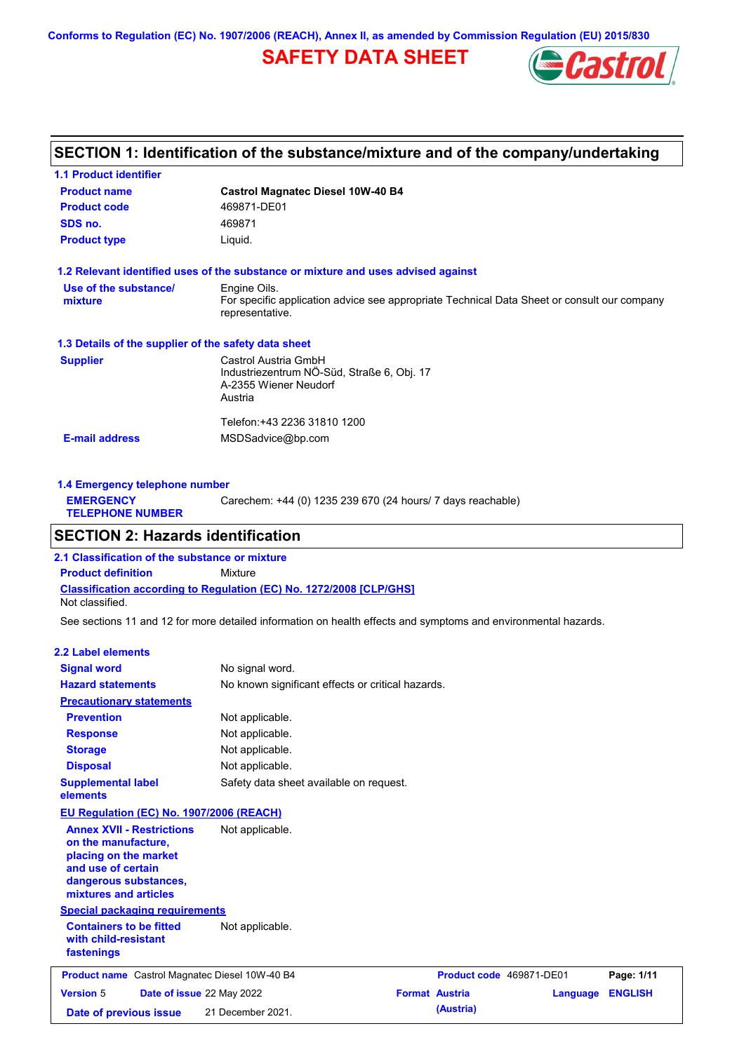**Conforms to Regulation (EC) No. 1907/2006 (REACH), Annex II, as amended by Commission Regulation (EU) 2015/830**

# **SAFETY DATA SHEET**



# **SECTION 1: Identification of the substance/mixture and of the company/undertaking**

| <b>1.1 Product identifier</b>                        |                                                                                                                |
|------------------------------------------------------|----------------------------------------------------------------------------------------------------------------|
| <b>Product name</b>                                  | <b>Castrol Magnatec Diesel 10W-40 B4</b>                                                                       |
| <b>Product code</b>                                  | 469871-DE01                                                                                                    |
| SDS no.                                              | 469871                                                                                                         |
| <b>Product type</b>                                  | Liquid.                                                                                                        |
|                                                      | 1.2 Relevant identified uses of the substance or mixture and uses advised against                              |
| Use of the substance/                                | Engine Oils.                                                                                                   |
| mixture                                              | For specific application advice see appropriate Technical Data Sheet or consult our company<br>representative. |
| 1.3 Details of the supplier of the safety data sheet |                                                                                                                |
| <b>Supplier</b>                                      | Castrol Austria GmbH                                                                                           |
|                                                      | Industriezentrum NÖ-Süd, Straße 6, Obj. 17                                                                     |
|                                                      | A-2355 Wiener Neudorf                                                                                          |
|                                                      | Austria                                                                                                        |
|                                                      | Telefon:+43 2236 31810 1200                                                                                    |
| <b>E-mail address</b>                                | MSDSadvice@bp.com                                                                                              |
|                                                      |                                                                                                                |
|                                                      |                                                                                                                |

| 1.4 Emergency telephone number              |                                                             |  |  |
|---------------------------------------------|-------------------------------------------------------------|--|--|
| <b>EMERGENCY</b><br><b>TELEPHONE NUMBER</b> | Carechem: +44 (0) 1235 239 670 (24 hours/ 7 days reachable) |  |  |

### **SECTION 2: Hazards identification**

**Classification according to Regulation (EC) No. 1272/2008 [CLP/GHS] 2.1 Classification of the substance or mixture Product definition** Mixture Not classified.

See sections 11 and 12 for more detailed information on health effects and symptoms and environmental hazards.

#### **2.2 Label elements**

| <b>Signal word</b>                                                                                                                                       | No signal word.                                   |                          |          |                |
|----------------------------------------------------------------------------------------------------------------------------------------------------------|---------------------------------------------------|--------------------------|----------|----------------|
| <b>Hazard statements</b>                                                                                                                                 | No known significant effects or critical hazards. |                          |          |                |
| <b>Precautionary statements</b>                                                                                                                          |                                                   |                          |          |                |
| <b>Prevention</b>                                                                                                                                        | Not applicable.                                   |                          |          |                |
| <b>Response</b>                                                                                                                                          | Not applicable.                                   |                          |          |                |
| <b>Storage</b>                                                                                                                                           | Not applicable.                                   |                          |          |                |
| <b>Disposal</b>                                                                                                                                          | Not applicable.                                   |                          |          |                |
| <b>Supplemental label</b><br>elements                                                                                                                    | Safety data sheet available on request.           |                          |          |                |
| EU Regulation (EC) No. 1907/2006 (REACH)                                                                                                                 |                                                   |                          |          |                |
| <b>Annex XVII - Restrictions</b><br>on the manufacture,<br>placing on the market<br>and use of certain<br>dangerous substances,<br>mixtures and articles | Not applicable.                                   |                          |          |                |
| <b>Special packaging requirements</b>                                                                                                                    |                                                   |                          |          |                |
| <b>Containers to be fitted</b><br>with child-resistant<br>fastenings                                                                                     | Not applicable.                                   |                          |          |                |
| Product name Castrol Magnatec Diesel 10W-40 B4                                                                                                           |                                                   | Product code 469871-DE01 |          | Page: 1/11     |
| <b>Version 5</b><br>Date of issue 22 May 2022                                                                                                            |                                                   | <b>Format Austria</b>    | Language | <b>ENGLISH</b> |
| Date of previous issue                                                                                                                                   | 21 December 2021.                                 | (Austria)                |          |                |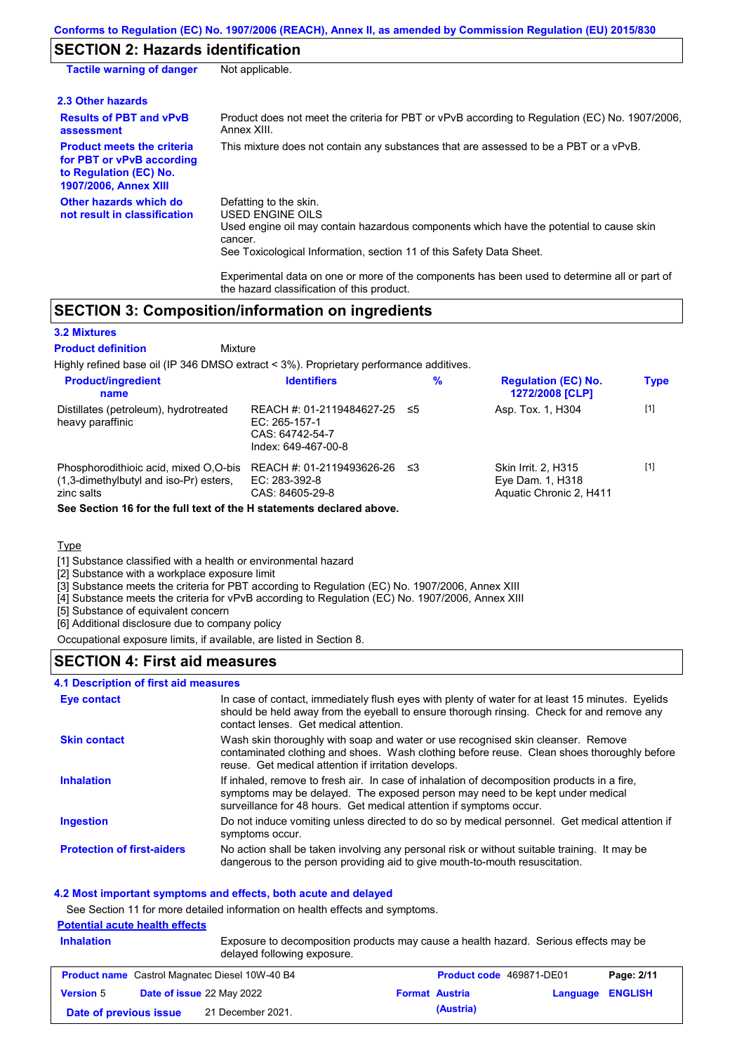# **SECTION 2: Hazards identification**

| <b>Tactile warning of danger</b>                                                                                         | Not applicable.                                                                                                                                                                                                                                                                                                                                                        |
|--------------------------------------------------------------------------------------------------------------------------|------------------------------------------------------------------------------------------------------------------------------------------------------------------------------------------------------------------------------------------------------------------------------------------------------------------------------------------------------------------------|
| 2.3 Other hazards                                                                                                        |                                                                                                                                                                                                                                                                                                                                                                        |
| <b>Results of PBT and vPvB</b><br>assessment                                                                             | Product does not meet the criteria for PBT or vPvB according to Regulation (EC) No. 1907/2006.<br>Annex XIII.                                                                                                                                                                                                                                                          |
| <b>Product meets the criteria</b><br>for PBT or vPvB according<br>to Regulation (EC) No.<br><b>1907/2006, Annex XIII</b> | This mixture does not contain any substances that are assessed to be a PBT or a vPvB.                                                                                                                                                                                                                                                                                  |
| Other hazards which do<br>not result in classification                                                                   | Defatting to the skin.<br>USED ENGINE OILS<br>Used engine oil may contain hazardous components which have the potential to cause skin<br>cancer.<br>See Toxicological Information, section 11 of this Safety Data Sheet.<br>Experimental data on one or more of the components has been used to determine all or part of<br>the hazard classification of this product. |

### **SECTION 3: Composition/information on ingredients**

Mixture

#### **3.2 Mixtures**

#### **Product definition**

Highly refined base oil (IP 346 DMSO extract < 3%). Proprietary performance additives.

| <b>Product/ingredient</b><br>name                                                                                                                                        | <b>Identifiers</b>                                                                   | %   | <b>Regulation (EC) No.</b><br>1272/2008 [CLP]                             | <b>Type</b> |
|--------------------------------------------------------------------------------------------------------------------------------------------------------------------------|--------------------------------------------------------------------------------------|-----|---------------------------------------------------------------------------|-------------|
| Distillates (petroleum), hydrotreated<br>heavy paraffinic                                                                                                                | REACH #: 01-2119484627-25<br>EC: 265-157-1<br>CAS: 64742-54-7<br>Index: 649-467-00-8 | -≤5 | Asp. Tox. 1, H304                                                         | $[1]$       |
| Phosphorodithioic acid, mixed O,O-bis<br>$(1,3$ -dimethylbutyl and iso-Pr) esters,<br>zinc salts<br>See Section 16 for the full text of the H statements declared above. | REACH #: 01-2119493626-26<br>EC: 283-392-8<br>CAS: 84605-29-8                        | ≤3  | <b>Skin Irrit. 2. H315</b><br>Eye Dam. 1, H318<br>Aquatic Chronic 2, H411 | $[1]$       |

#### **Type**

[1] Substance classified with a health or environmental hazard

[2] Substance with a workplace exposure limit

[3] Substance meets the criteria for PBT according to Regulation (EC) No. 1907/2006, Annex XIII

[4] Substance meets the criteria for vPvB according to Regulation (EC) No. 1907/2006, Annex XIII

[5] Substance of equivalent concern

[6] Additional disclosure due to company policy

Occupational exposure limits, if available, are listed in Section 8.

### **SECTION 4: First aid measures**

#### **4.1 Description of first aid measures**

| Eye contact                       | In case of contact, immediately flush eyes with plenty of water for at least 15 minutes. Eyelids<br>should be held away from the eyeball to ensure thorough rinsing. Check for and remove any<br>contact lenses. Get medical attention.             |
|-----------------------------------|-----------------------------------------------------------------------------------------------------------------------------------------------------------------------------------------------------------------------------------------------------|
| <b>Skin contact</b>               | Wash skin thoroughly with soap and water or use recognised skin cleanser. Remove<br>contaminated clothing and shoes. Wash clothing before reuse. Clean shoes thoroughly before<br>reuse. Get medical attention if irritation develops.              |
| <b>Inhalation</b>                 | If inhaled, remove to fresh air. In case of inhalation of decomposition products in a fire,<br>symptoms may be delayed. The exposed person may need to be kept under medical<br>surveillance for 48 hours. Get medical attention if symptoms occur. |
| <b>Ingestion</b>                  | Do not induce vomiting unless directed to do so by medical personnel. Get medical attention if<br>symptoms occur.                                                                                                                                   |
| <b>Protection of first-aiders</b> | No action shall be taken involving any personal risk or without suitable training. It may be<br>dangerous to the person providing aid to give mouth-to-mouth resuscitation.                                                                         |

#### **4.2 Most important symptoms and effects, both acute and delayed**

See Section 11 for more detailed information on health effects and symptoms.

### **Potential acute health effects**

| <b>Inhalation</b> | Exposure to decomposition products may cause a health hazard. Serious effects may be<br>delayed following exposure. |                                                       |  |                       |                          |            |
|-------------------|---------------------------------------------------------------------------------------------------------------------|-------------------------------------------------------|--|-----------------------|--------------------------|------------|
|                   |                                                                                                                     | <b>Product name</b> Castrol Magnatec Diesel 10W-40 B4 |  |                       | Product code 469871-DE01 | Page: 2/11 |
| <b>Version 5</b>  | Date of issue 22 May 2022                                                                                           |                                                       |  | <b>Format Austria</b> | <b>Language ENGLISH</b>  |            |
|                   | Date of previous issue                                                                                              | 21 December 2021.                                     |  | (Austria)             |                          |            |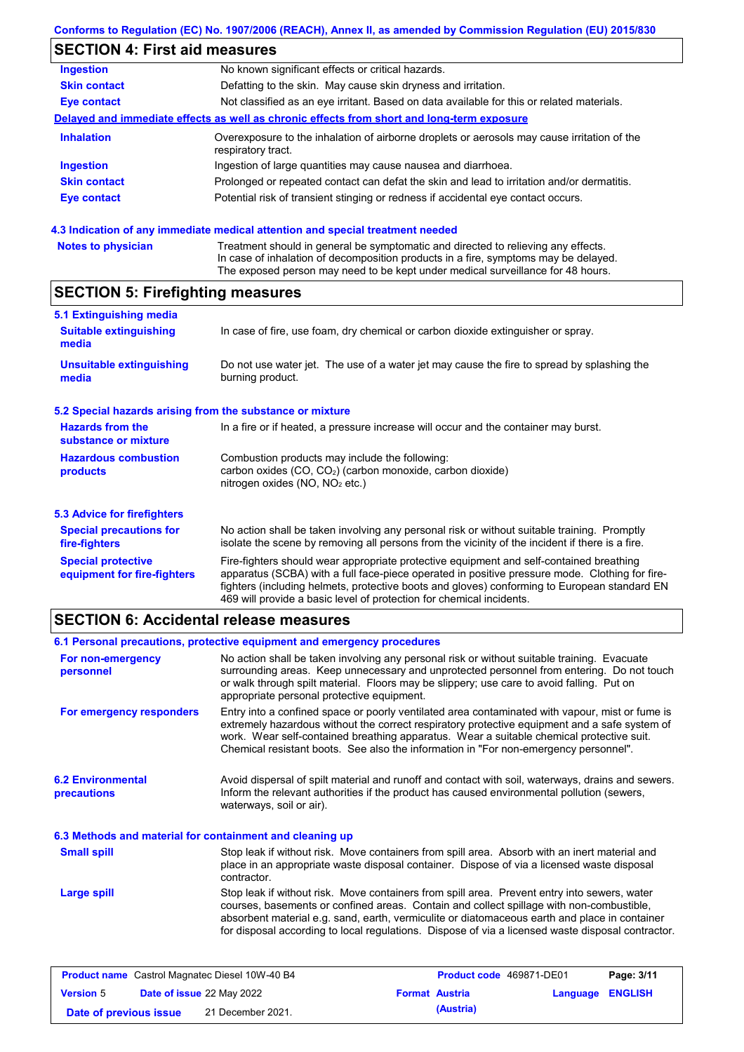### **Conforms to Regulation (EC) No. 1907/2006 (REACH), Annex II, as amended by Commission Regulation (EU) 2015/830**

# **SECTION 4: First aid measures**

| <b>Ingestion</b>    | No known significant effects or critical hazards.                                                                 |
|---------------------|-------------------------------------------------------------------------------------------------------------------|
| <b>Skin contact</b> | Defatting to the skin. May cause skin dryness and irritation.                                                     |
| Eye contact         | Not classified as an eye irritant. Based on data available for this or related materials.                         |
|                     | Delayed and immediate effects as well as chronic effects from short and long-term exposure                        |
| <b>Inhalation</b>   | Overexposure to the inhalation of airborne droplets or aerosols may cause irritation of the<br>respiratory tract. |
| <b>Ingestion</b>    | Ingestion of large quantities may cause nausea and diarrhoea.                                                     |
| <b>Skin contact</b> | Prolonged or repeated contact can defat the skin and lead to irritation and/or dermatitis.                        |
| Eye contact         | Potential risk of transient stinging or redness if accidental eye contact occurs.                                 |
|                     |                                                                                                                   |

### **4.3 Indication of any immediate medical attention and special treatment needed**

| <b>Notes to physician</b> | Treatment should in general be symptomatic and directed to relieving any effects.   |
|---------------------------|-------------------------------------------------------------------------------------|
|                           | In case of inhalation of decomposition products in a fire, symptoms may be delayed. |
|                           | The exposed person may need to be kept under medical surveillance for 48 hours.     |

# **SECTION 5: Firefighting measures**

| 5.1 Extinguishing media                                   |                                                                                                                                                                                                                                                                                                                                                                   |
|-----------------------------------------------------------|-------------------------------------------------------------------------------------------------------------------------------------------------------------------------------------------------------------------------------------------------------------------------------------------------------------------------------------------------------------------|
| <b>Suitable extinguishing</b><br>media                    | In case of fire, use foam, dry chemical or carbon dioxide extinguisher or spray.                                                                                                                                                                                                                                                                                  |
| <b>Unsuitable extinguishing</b><br>media                  | Do not use water jet. The use of a water jet may cause the fire to spread by splashing the<br>burning product.                                                                                                                                                                                                                                                    |
| 5.2 Special hazards arising from the substance or mixture |                                                                                                                                                                                                                                                                                                                                                                   |
| <b>Hazards from the</b><br>substance or mixture           | In a fire or if heated, a pressure increase will occur and the container may burst.                                                                                                                                                                                                                                                                               |
| <b>Hazardous combustion</b><br>products                   | Combustion products may include the following:<br>carbon oxides (CO, CO <sub>2</sub> ) (carbon monoxide, carbon dioxide)<br>nitrogen oxides (NO, NO <sub>2</sub> etc.)                                                                                                                                                                                            |
| 5.3 Advice for firefighters                               |                                                                                                                                                                                                                                                                                                                                                                   |
| <b>Special precautions for</b><br>fire-fighters           | No action shall be taken involving any personal risk or without suitable training. Promptly<br>isolate the scene by removing all persons from the vicinity of the incident if there is a fire.                                                                                                                                                                    |
| <b>Special protective</b><br>equipment for fire-fighters  | Fire-fighters should wear appropriate protective equipment and self-contained breathing<br>apparatus (SCBA) with a full face-piece operated in positive pressure mode. Clothing for fire-<br>fighters (including helmets, protective boots and gloves) conforming to European standard EN<br>469 will provide a basic level of protection for chemical incidents. |

### **SECTION 6: Accidental release measures**

|                                                          | 6.1 Personal precautions, protective equipment and emergency procedures                                                                                                                                                                                                                                                                                                                        |
|----------------------------------------------------------|------------------------------------------------------------------------------------------------------------------------------------------------------------------------------------------------------------------------------------------------------------------------------------------------------------------------------------------------------------------------------------------------|
| For non-emergency<br>personnel                           | No action shall be taken involving any personal risk or without suitable training. Evacuate<br>surrounding areas. Keep unnecessary and unprotected personnel from entering. Do not touch<br>or walk through spilt material. Floors may be slippery; use care to avoid falling. Put on<br>appropriate personal protective equipment.                                                            |
| For emergency responders                                 | Entry into a confined space or poorly ventilated area contaminated with vapour, mist or fume is<br>extremely hazardous without the correct respiratory protective equipment and a safe system of<br>work. Wear self-contained breathing apparatus. Wear a suitable chemical protective suit.<br>Chemical resistant boots. See also the information in "For non-emergency personnel".           |
| <b>6.2 Environmental</b><br>precautions                  | Avoid dispersal of spilt material and runoff and contact with soil, waterways, drains and sewers.<br>Inform the relevant authorities if the product has caused environmental pollution (sewers,<br>waterways, soil or air).                                                                                                                                                                    |
| 6.3 Methods and material for containment and cleaning up |                                                                                                                                                                                                                                                                                                                                                                                                |
| <b>Small spill</b>                                       | Stop leak if without risk. Move containers from spill area. Absorb with an inert material and<br>place in an appropriate waste disposal container. Dispose of via a licensed waste disposal<br>contractor.                                                                                                                                                                                     |
| Large spill                                              | Stop leak if without risk. Move containers from spill area. Prevent entry into sewers, water<br>courses, basements or confined areas. Contain and collect spillage with non-combustible,<br>absorbent material e.g. sand, earth, vermiculite or diatomaceous earth and place in container<br>for disposal according to local regulations. Dispose of via a licensed waste disposal contractor. |

| <b>Product name</b> Castrol Magnatec Diesel 10W-40 B4 |  | <b>Product code</b> 469871-DE01  | Page: 3/11 |                       |                         |  |
|-------------------------------------------------------|--|----------------------------------|------------|-----------------------|-------------------------|--|
| <b>Version 5</b>                                      |  | <b>Date of issue 22 May 2022</b> |            | <b>Format Austria</b> | <b>Language ENGLISH</b> |  |
| Date of previous issue                                |  | 21 December 2021.                |            | (Austria)             |                         |  |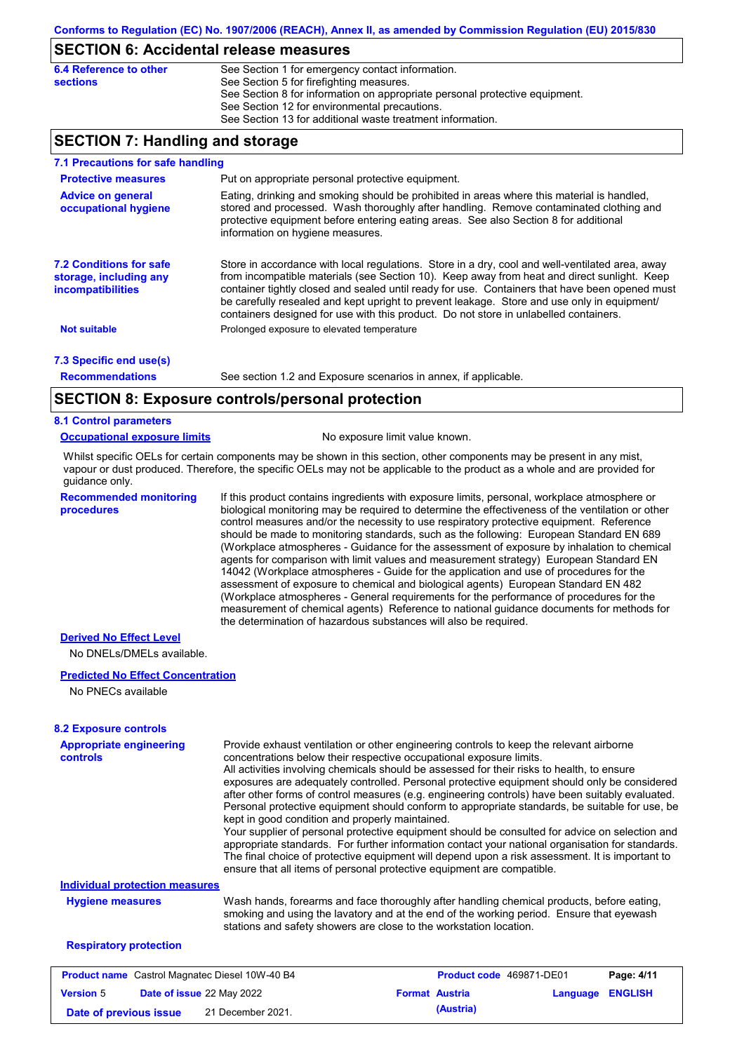### **SECTION 6: Accidental release measures**

| 6.4 Reference to other | See Section 1 for emergency contact information.                            |
|------------------------|-----------------------------------------------------------------------------|
| sections               | See Section 5 for firefighting measures.                                    |
|                        | See Section 8 for information on appropriate personal protective equipment. |
|                        | See Section 12 for environmental precautions.                               |
|                        | See Section 13 for additional waste treatment information.                  |

### **SECTION 7: Handling and storage**

| 7.1 Precautions for safe handling                                             |                                                                                                                                                                                                                                                                                                                                                                                                                                                                                          |
|-------------------------------------------------------------------------------|------------------------------------------------------------------------------------------------------------------------------------------------------------------------------------------------------------------------------------------------------------------------------------------------------------------------------------------------------------------------------------------------------------------------------------------------------------------------------------------|
| <b>Protective measures</b>                                                    | Put on appropriate personal protective equipment.                                                                                                                                                                                                                                                                                                                                                                                                                                        |
| <b>Advice on general</b><br>occupational hygiene                              | Eating, drinking and smoking should be prohibited in areas where this material is handled,<br>stored and processed. Wash thoroughly after handling. Remove contaminated clothing and<br>protective equipment before entering eating areas. See also Section 8 for additional<br>information on hygiene measures.                                                                                                                                                                         |
| <b>7.2 Conditions for safe</b><br>storage, including any<br>incompatibilities | Store in accordance with local regulations. Store in a dry, cool and well-ventilated area, away<br>from incompatible materials (see Section 10). Keep away from heat and direct sunlight. Keep<br>container tightly closed and sealed until ready for use. Containers that have been opened must<br>be carefully resealed and kept upright to prevent leakage. Store and use only in equipment/<br>containers designed for use with this product. Do not store in unlabelled containers. |
| <b>Not suitable</b>                                                           | Prolonged exposure to elevated temperature                                                                                                                                                                                                                                                                                                                                                                                                                                               |
| 7.3 Specific end use(s)                                                       |                                                                                                                                                                                                                                                                                                                                                                                                                                                                                          |
| <b>Recommendations</b>                                                        | See section 1.2 and Exposure scenarios in annex, if applicable.                                                                                                                                                                                                                                                                                                                                                                                                                          |
|                                                                               | CECTION 0. Evansure controlate research protection                                                                                                                                                                                                                                                                                                                                                                                                                                       |

### **SECTION 8: Exposure controls/personal protection**

#### **8.1 Control parameters**

#### **Occupational exposure limits** No exposure limit value known.

Whilst specific OELs for certain components may be shown in this section, other components may be present in any mist, vapour or dust produced. Therefore, the specific OELs may not be applicable to the product as a whole and are provided for guidance only.

**Recommended monitoring procedures**

If this product contains ingredients with exposure limits, personal, workplace atmosphere or biological monitoring may be required to determine the effectiveness of the ventilation or other control measures and/or the necessity to use respiratory protective equipment. Reference should be made to monitoring standards, such as the following: European Standard EN 689 (Workplace atmospheres - Guidance for the assessment of exposure by inhalation to chemical agents for comparison with limit values and measurement strategy) European Standard EN 14042 (Workplace atmospheres - Guide for the application and use of procedures for the assessment of exposure to chemical and biological agents) European Standard EN 482 (Workplace atmospheres - General requirements for the performance of procedures for the measurement of chemical agents) Reference to national guidance documents for methods for the determination of hazardous substances will also be required.

### **Derived No Effect Level**

No DNELs/DMELs available.

### **Predicted No Effect Concentration**

No PNECs available

| <b>Appropriate engineering</b><br><b>controls</b>     | Provide exhaust ventilation or other engineering controls to keep the relevant airborne<br>concentrations below their respective occupational exposure limits.<br>All activities involving chemicals should be assessed for their risks to health, to ensure<br>exposures are adequately controlled. Personal protective equipment should only be considered<br>after other forms of control measures (e.g. engineering controls) have been suitably evaluated.<br>Personal protective equipment should conform to appropriate standards, be suitable for use, be<br>kept in good condition and properly maintained.<br>Your supplier of personal protective equipment should be consulted for advice on selection and<br>appropriate standards. For further information contact your national organisation for standards.<br>The final choice of protective equipment will depend upon a risk assessment. It is important to |          |                |
|-------------------------------------------------------|-------------------------------------------------------------------------------------------------------------------------------------------------------------------------------------------------------------------------------------------------------------------------------------------------------------------------------------------------------------------------------------------------------------------------------------------------------------------------------------------------------------------------------------------------------------------------------------------------------------------------------------------------------------------------------------------------------------------------------------------------------------------------------------------------------------------------------------------------------------------------------------------------------------------------------|----------|----------------|
|                                                       | ensure that all items of personal protective equipment are compatible.                                                                                                                                                                                                                                                                                                                                                                                                                                                                                                                                                                                                                                                                                                                                                                                                                                                        |          |                |
| <b>Individual protection measures</b>                 |                                                                                                                                                                                                                                                                                                                                                                                                                                                                                                                                                                                                                                                                                                                                                                                                                                                                                                                               |          |                |
| <b>Hygiene measures</b>                               | Wash hands, forearms and face thoroughly after handling chemical products, before eating,<br>smoking and using the lavatory and at the end of the working period. Ensure that eyewash<br>stations and safety showers are close to the workstation location.                                                                                                                                                                                                                                                                                                                                                                                                                                                                                                                                                                                                                                                                   |          |                |
| <b>Respiratory protection</b>                         |                                                                                                                                                                                                                                                                                                                                                                                                                                                                                                                                                                                                                                                                                                                                                                                                                                                                                                                               |          |                |
| <b>Product name</b> Castrol Magnatec Diesel 10W-40 B4 | Product code 469871-DE01                                                                                                                                                                                                                                                                                                                                                                                                                                                                                                                                                                                                                                                                                                                                                                                                                                                                                                      |          | Page: 4/11     |
| Date of issue 22 May 2022<br><b>Version 5</b>         | <b>Format Austria</b>                                                                                                                                                                                                                                                                                                                                                                                                                                                                                                                                                                                                                                                                                                                                                                                                                                                                                                         | Language | <b>ENGLISH</b> |

**Date of previous issue (Austria)** 21 December 2021.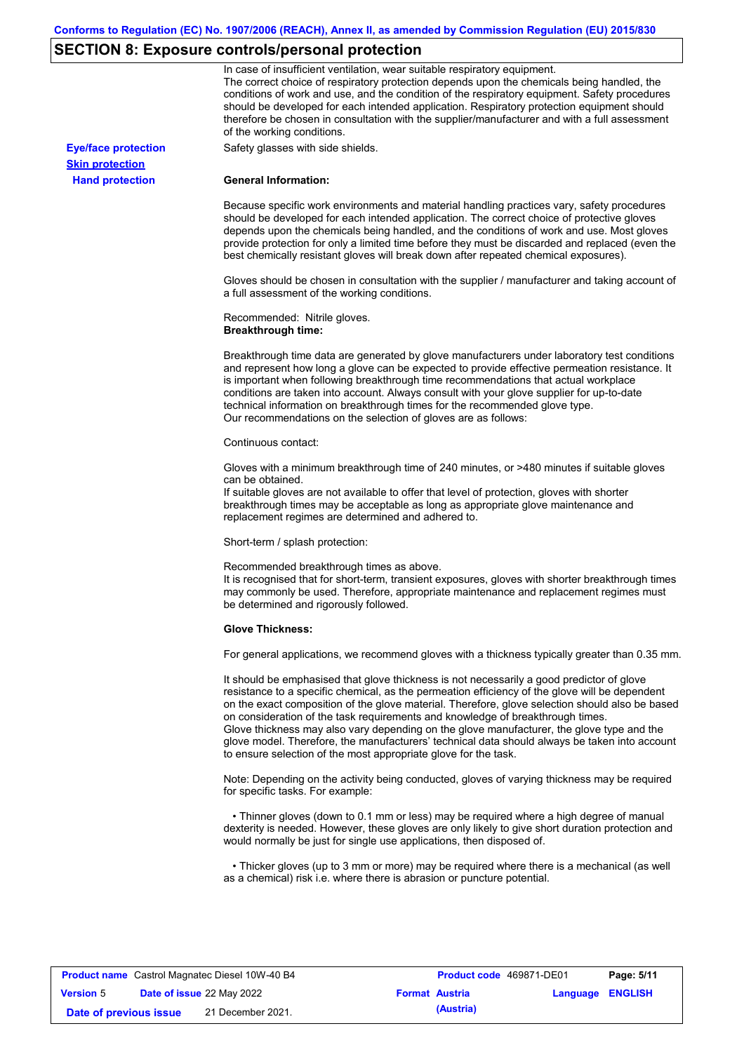# **SECTION 8: Exposure controls/personal protection**

|                            | In case of insufficient ventilation, wear suitable respiratory equipment.<br>The correct choice of respiratory protection depends upon the chemicals being handled, the<br>conditions of work and use, and the condition of the respiratory equipment. Safety procedures<br>should be developed for each intended application. Respiratory protection equipment should<br>therefore be chosen in consultation with the supplier/manufacturer and with a full assessment<br>of the working conditions.                                                                                                                                             |
|----------------------------|---------------------------------------------------------------------------------------------------------------------------------------------------------------------------------------------------------------------------------------------------------------------------------------------------------------------------------------------------------------------------------------------------------------------------------------------------------------------------------------------------------------------------------------------------------------------------------------------------------------------------------------------------|
| <b>Eye/face protection</b> | Safety glasses with side shields.                                                                                                                                                                                                                                                                                                                                                                                                                                                                                                                                                                                                                 |
| <b>Skin protection</b>     |                                                                                                                                                                                                                                                                                                                                                                                                                                                                                                                                                                                                                                                   |
| <b>Hand protection</b>     | <b>General Information:</b>                                                                                                                                                                                                                                                                                                                                                                                                                                                                                                                                                                                                                       |
|                            | Because specific work environments and material handling practices vary, safety procedures<br>should be developed for each intended application. The correct choice of protective gloves<br>depends upon the chemicals being handled, and the conditions of work and use. Most gloves<br>provide protection for only a limited time before they must be discarded and replaced (even the<br>best chemically resistant gloves will break down after repeated chemical exposures).                                                                                                                                                                  |
|                            | Gloves should be chosen in consultation with the supplier / manufacturer and taking account of<br>a full assessment of the working conditions.                                                                                                                                                                                                                                                                                                                                                                                                                                                                                                    |
|                            | Recommended: Nitrile gloves.<br><b>Breakthrough time:</b>                                                                                                                                                                                                                                                                                                                                                                                                                                                                                                                                                                                         |
|                            | Breakthrough time data are generated by glove manufacturers under laboratory test conditions<br>and represent how long a glove can be expected to provide effective permeation resistance. It<br>is important when following breakthrough time recommendations that actual workplace<br>conditions are taken into account. Always consult with your glove supplier for up-to-date<br>technical information on breakthrough times for the recommended glove type.<br>Our recommendations on the selection of gloves are as follows:                                                                                                                |
|                            | Continuous contact:                                                                                                                                                                                                                                                                                                                                                                                                                                                                                                                                                                                                                               |
|                            | Gloves with a minimum breakthrough time of 240 minutes, or >480 minutes if suitable gloves<br>can be obtained.<br>If suitable gloves are not available to offer that level of protection, gloves with shorter<br>breakthrough times may be acceptable as long as appropriate glove maintenance and<br>replacement regimes are determined and adhered to.                                                                                                                                                                                                                                                                                          |
|                            | Short-term / splash protection:                                                                                                                                                                                                                                                                                                                                                                                                                                                                                                                                                                                                                   |
|                            | Recommended breakthrough times as above.<br>It is recognised that for short-term, transient exposures, gloves with shorter breakthrough times<br>may commonly be used. Therefore, appropriate maintenance and replacement regimes must<br>be determined and rigorously followed.                                                                                                                                                                                                                                                                                                                                                                  |
|                            | <b>Glove Thickness:</b>                                                                                                                                                                                                                                                                                                                                                                                                                                                                                                                                                                                                                           |
|                            | For general applications, we recommend gloves with a thickness typically greater than 0.35 mm.                                                                                                                                                                                                                                                                                                                                                                                                                                                                                                                                                    |
|                            | It should be emphasised that glove thickness is not necessarily a good predictor of glove<br>resistance to a specific chemical, as the permeation efficiency of the glove will be dependent<br>on the exact composition of the glove material. Therefore, glove selection should also be based<br>on consideration of the task requirements and knowledge of breakthrough times.<br>Glove thickness may also vary depending on the glove manufacturer, the glove type and the<br>glove model. Therefore, the manufacturers' technical data should always be taken into account<br>to ensure selection of the most appropriate glove for the task. |
|                            | Note: Depending on the activity being conducted, gloves of varying thickness may be required<br>for specific tasks. For example:                                                                                                                                                                                                                                                                                                                                                                                                                                                                                                                  |
|                            | • Thinner gloves (down to 0.1 mm or less) may be required where a high degree of manual<br>dexterity is needed. However, these gloves are only likely to give short duration protection and<br>would normally be just for single use applications, then disposed of.                                                                                                                                                                                                                                                                                                                                                                              |
|                            | • Thicker gloves (up to 3 mm or more) may be required where there is a mechanical (as well<br>as a chemical) risk i.e. where there is abrasion or puncture potential.                                                                                                                                                                                                                                                                                                                                                                                                                                                                             |

| <b>Product name</b> Castrol Magnatec Diesel 10W-40 B4 |  | Product code 469871-DE01         |                       | Page: 5/11 |                         |  |
|-------------------------------------------------------|--|----------------------------------|-----------------------|------------|-------------------------|--|
| <b>Version 5</b>                                      |  | <b>Date of issue 22 May 2022</b> | <b>Format Austria</b> |            | <b>Language ENGLISH</b> |  |
| Date of previous issue                                |  | 21 December 2021.                |                       | (Austria)  |                         |  |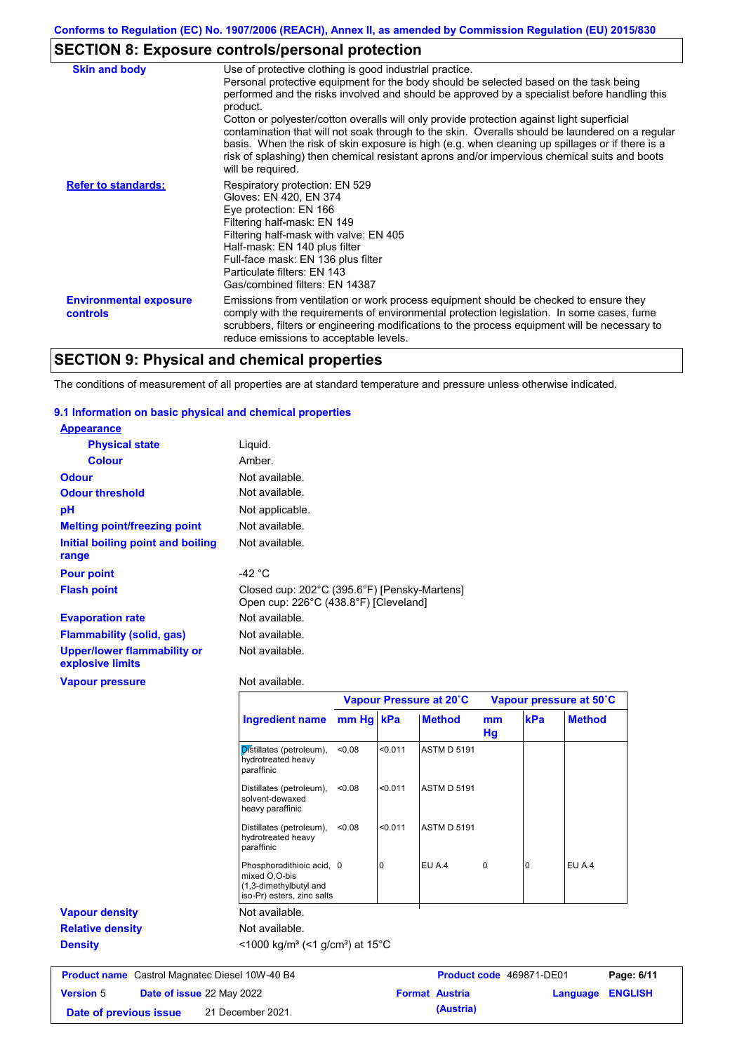# **SECTION 8: Exposure controls/personal protection**

| Use of protective clothing is good industrial practice.                                                                                                                                                                                                                                                                       |
|-------------------------------------------------------------------------------------------------------------------------------------------------------------------------------------------------------------------------------------------------------------------------------------------------------------------------------|
| Personal protective equipment for the body should be selected based on the task being                                                                                                                                                                                                                                         |
| performed and the risks involved and should be approved by a specialist before handling this<br>product.                                                                                                                                                                                                                      |
| Cotton or polyester/cotton overalls will only provide protection against light superficial                                                                                                                                                                                                                                    |
| contamination that will not soak through to the skin. Overalls should be laundered on a regular<br>basis. When the risk of skin exposure is high (e.g. when cleaning up spillages or if there is a<br>risk of splashing) then chemical resistant aprons and/or impervious chemical suits and boots<br>will be required.       |
| Respiratory protection: EN 529<br>Gloves: EN 420, EN 374<br>Eye protection: EN 166                                                                                                                                                                                                                                            |
| Filtering half-mask: EN 149                                                                                                                                                                                                                                                                                                   |
| Filtering half-mask with valve: EN 405                                                                                                                                                                                                                                                                                        |
| Half-mask: EN 140 plus filter                                                                                                                                                                                                                                                                                                 |
| Full-face mask: EN 136 plus filter<br>Particulate filters: EN 143                                                                                                                                                                                                                                                             |
| Gas/combined filters: EN 14387                                                                                                                                                                                                                                                                                                |
| Emissions from ventilation or work process equipment should be checked to ensure they<br>comply with the requirements of environmental protection legislation. In some cases, fume<br>scrubbers, filters or engineering modifications to the process equipment will be necessary to<br>reduce emissions to acceptable levels. |
|                                                                                                                                                                                                                                                                                                                               |

# **SECTION 9: Physical and chemical properties**

The conditions of measurement of all properties are at standard temperature and pressure unless otherwise indicated.

### **9.1 Information on basic physical and chemical properties**

| <b>Appearance</b>                                      |                                                                                                    |           |         |                    |          |                          |               |
|--------------------------------------------------------|----------------------------------------------------------------------------------------------------|-----------|---------|--------------------|----------|--------------------------|---------------|
| <b>Physical state</b>                                  | Liquid.                                                                                            |           |         |                    |          |                          |               |
| <b>Colour</b>                                          | Amber.                                                                                             |           |         |                    |          |                          |               |
| <b>Odour</b>                                           | Not available.                                                                                     |           |         |                    |          |                          |               |
| <b>Odour threshold</b>                                 | Not available.                                                                                     |           |         |                    |          |                          |               |
| pH                                                     | Not applicable.                                                                                    |           |         |                    |          |                          |               |
| <b>Melting point/freezing point</b>                    | Not available.                                                                                     |           |         |                    |          |                          |               |
| Initial boiling point and boiling<br>range             | Not available.                                                                                     |           |         |                    |          |                          |               |
| <b>Pour point</b>                                      | $-42 °C$                                                                                           |           |         |                    |          |                          |               |
| <b>Flash point</b>                                     | Closed cup: 202°C (395.6°F) [Pensky-Martens]<br>Open cup: 226°C (438.8°F) [Cleveland]              |           |         |                    |          |                          |               |
| <b>Evaporation rate</b>                                | Not available.                                                                                     |           |         |                    |          |                          |               |
| <b>Flammability (solid, gas)</b>                       | Not available.                                                                                     |           |         |                    |          |                          |               |
| <b>Upper/lower flammability or</b><br>explosive limits | Not available.                                                                                     |           |         |                    |          |                          |               |
| <b>Vapour pressure</b>                                 | Not available.                                                                                     |           |         |                    |          |                          |               |
|                                                        | Vapour Pressure at 20°C<br>Vapour pressure at 50°C                                                 |           |         |                    |          |                          |               |
|                                                        | <b>Ingredient name</b>                                                                             | mm Hg kPa |         | <b>Method</b>      | mm<br>Hg | kPa                      | <b>Method</b> |
|                                                        | Distillates (petroleum),<br>hydrotreated heavy<br>paraffinic                                       | < 0.08    | < 0.011 | ASTM D 5191        |          |                          |               |
|                                                        | Distillates (petroleum),<br>solvent-dewaxed<br>heavy paraffinic                                    | < 0.08    | < 0.011 | <b>ASTM D 5191</b> |          |                          |               |
|                                                        | Distillates (petroleum),<br>hydrotreated heavy<br>paraffinic                                       | < 0.08    | < 0.011 | <b>ASTM D 5191</b> |          |                          |               |
|                                                        | Phosphorodithioic acid, 0<br>mixed O,O-bis<br>(1,3-dimethylbutyl and<br>iso-Pr) esters, zinc salts |           | 0       | EU A.4             | $\Omega$ | $\Omega$                 | EU A.4        |
| <b>Vapour density</b>                                  | Not available.                                                                                     |           |         |                    |          |                          |               |
| <b>Relative density</b>                                | Not available.                                                                                     |           |         |                    |          |                          |               |
| <b>Density</b>                                         | <1000 kg/m <sup>3</sup> (<1 g/cm <sup>3</sup> ) at 15 <sup>°</sup> C                               |           |         |                    |          |                          |               |
|                                                        |                                                                                                    |           |         |                    |          |                          |               |
| <b>Product name</b> Castrol Magnatec Diesel 10W-40 B4  |                                                                                                    |           |         |                    |          | Product code 469871-DE01 | Pag           |

**Version** 5 Castrol Magnatec Diesel 10W-40 B4 **Product code** 469871-DE01 **Page: 6/11 Date of issue** 22 May 2022 **Format Austria Language ENGLISH Date of previous issue (Austria)** 21 December 2021.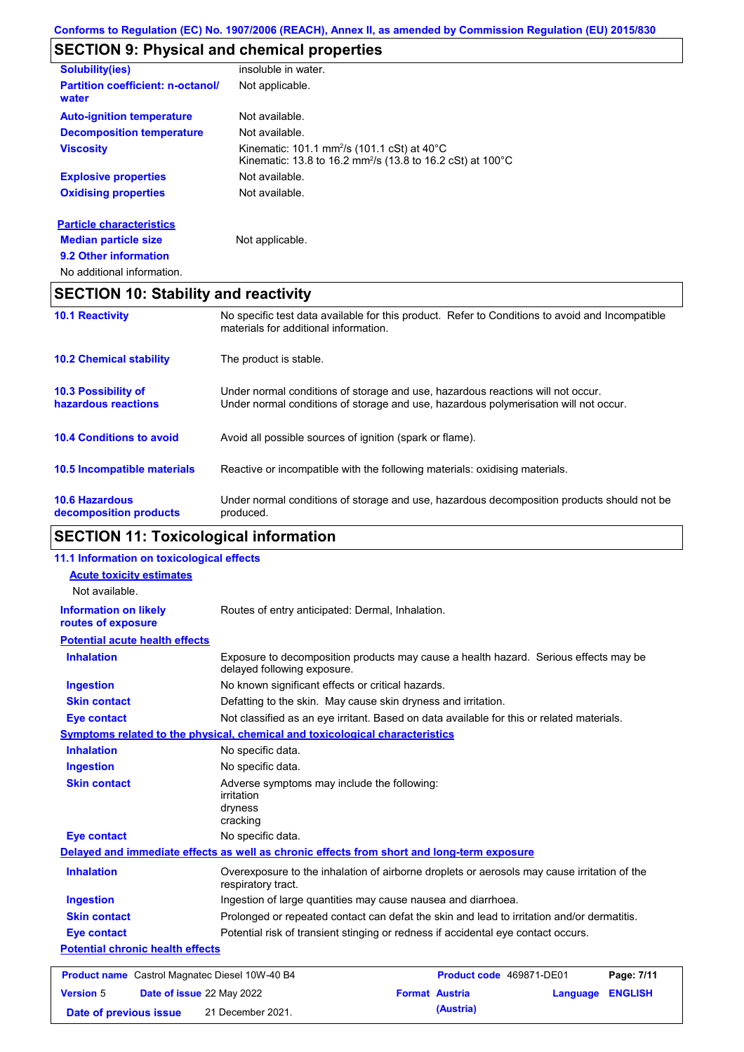# **SECTION 9: Physical and chemical properties**

| <b>Solubility(ies)</b>                                         | insoluble in water.                                                                                                                           |
|----------------------------------------------------------------|-----------------------------------------------------------------------------------------------------------------------------------------------|
| <b>Partition coefficient: n-octanol/</b><br>water              | Not applicable.                                                                                                                               |
| <b>Auto-ignition temperature</b>                               | Not available.                                                                                                                                |
| <b>Decomposition temperature</b>                               | Not available.                                                                                                                                |
| <b>Viscosity</b>                                               | Kinematic: 101.1 mm <sup>2</sup> /s (101.1 cSt) at 40 $^{\circ}$ C<br>Kinematic: 13.8 to 16.2 mm <sup>2</sup> /s (13.8 to 16.2 cSt) at 100 °C |
| <b>Explosive properties</b>                                    | Not available.                                                                                                                                |
| <b>Oxidising properties</b>                                    | Not available.                                                                                                                                |
| <b>Particle characteristics</b><br><b>Median particle size</b> | Not applicable.                                                                                                                               |
| 9.2 Other information                                          |                                                                                                                                               |

No additional information.

# **SECTION 10: Stability and reactivity**

| <b>10.1 Reactivity</b>                            | No specific test data available for this product. Refer to Conditions to avoid and Incompatible<br>materials for additional information.                                |
|---------------------------------------------------|-------------------------------------------------------------------------------------------------------------------------------------------------------------------------|
| <b>10.2 Chemical stability</b>                    | The product is stable.                                                                                                                                                  |
| <b>10.3 Possibility of</b><br>hazardous reactions | Under normal conditions of storage and use, hazardous reactions will not occur.<br>Under normal conditions of storage and use, hazardous polymerisation will not occur. |
| <b>10.4 Conditions to avoid</b>                   | Avoid all possible sources of ignition (spark or flame).                                                                                                                |
| <b>10.5 Incompatible materials</b>                | Reactive or incompatible with the following materials: oxidising materials.                                                                                             |
| <b>10.6 Hazardous</b><br>decomposition products   | Under normal conditions of storage and use, hazardous decomposition products should not be<br>produced.                                                                 |

# **SECTION 11: Toxicological information**

| 11.1 Information on toxicological effects          |                                                                                                                     |
|----------------------------------------------------|---------------------------------------------------------------------------------------------------------------------|
| <b>Acute toxicity estimates</b>                    |                                                                                                                     |
| Not available.                                     |                                                                                                                     |
| <b>Information on likely</b><br>routes of exposure | Routes of entry anticipated: Dermal, Inhalation.                                                                    |
| <b>Potential acute health effects</b>              |                                                                                                                     |
| <b>Inhalation</b>                                  | Exposure to decomposition products may cause a health hazard. Serious effects may be<br>delayed following exposure. |
| <b>Ingestion</b>                                   | No known significant effects or critical hazards.                                                                   |
| <b>Skin contact</b>                                | Defatting to the skin. May cause skin dryness and irritation.                                                       |
| <b>Eye contact</b>                                 | Not classified as an eye irritant. Based on data available for this or related materials.                           |
|                                                    | <b>Symptoms related to the physical, chemical and toxicological characteristics</b>                                 |
| <b>Inhalation</b>                                  | No specific data.                                                                                                   |
| <b>Ingestion</b>                                   | No specific data.                                                                                                   |
| <b>Skin contact</b>                                | Adverse symptoms may include the following:<br><i>irritation</i><br>dryness<br>cracking                             |
| <b>Eye contact</b>                                 | No specific data.                                                                                                   |
|                                                    | Delayed and immediate effects as well as chronic effects from short and long-term exposure                          |
| <b>Inhalation</b>                                  | Overexposure to the inhalation of airborne droplets or aerosols may cause irritation of the<br>respiratory tract.   |
| <b>Ingestion</b>                                   | Ingestion of large quantities may cause nausea and diarrhoea.                                                       |
| <b>Skin contact</b>                                | Prolonged or repeated contact can defat the skin and lead to irritation and/or dermatitis.                          |
| <b>Eye contact</b>                                 | Potential risk of transient stinging or redness if accidental eye contact occurs.                                   |
| <b>Potential chronic health effects</b>            |                                                                                                                     |
| Product name Castrol Magnatec Diesel 10W-40 B4     | Product code 469871-DE01<br>Page: 7/11                                                                              |
| <b>Version 5</b>                                   | Date of issue 22 May 2022<br><b>Format Austria</b><br><b>ENGLISH</b><br>Language                                    |
| Date of previous issue                             | (Austria)<br>21 December 2021.                                                                                      |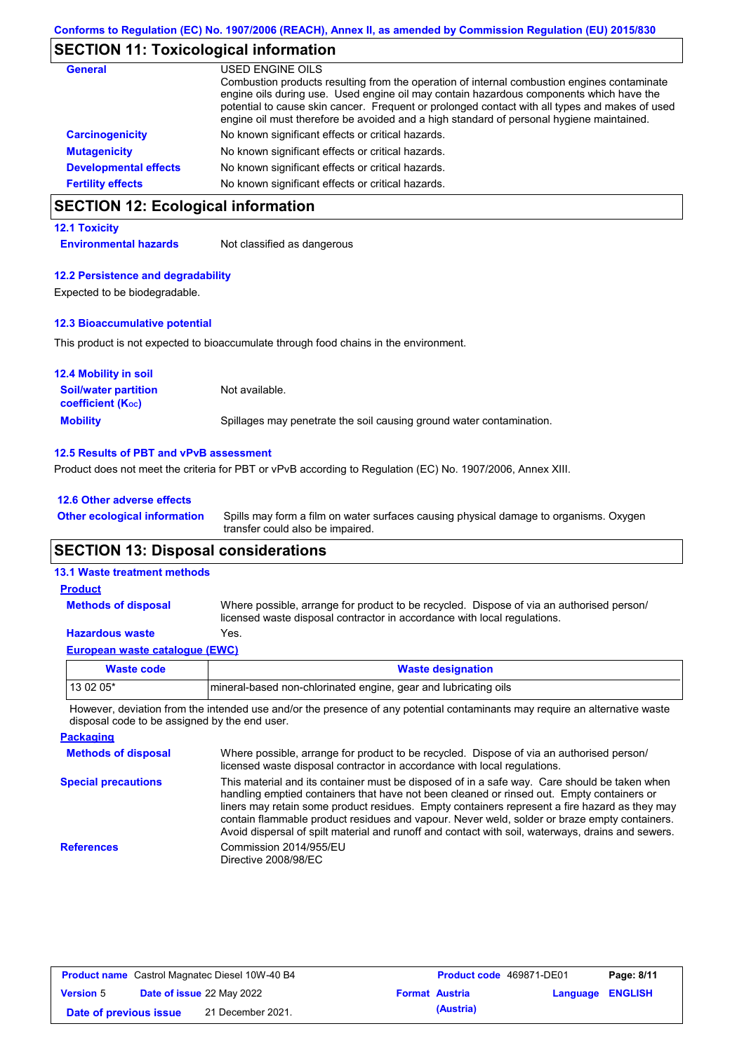### **SECTION 11: Toxicological information**

| <b>General</b>               | USED ENGINE OILS                                                                                                                                                                                                                                                                                                                                                                     |
|------------------------------|--------------------------------------------------------------------------------------------------------------------------------------------------------------------------------------------------------------------------------------------------------------------------------------------------------------------------------------------------------------------------------------|
|                              | Combustion products resulting from the operation of internal combustion engines contaminate<br>engine oils during use. Used engine oil may contain hazardous components which have the<br>potential to cause skin cancer. Frequent or prolonged contact with all types and makes of used<br>engine oil must therefore be avoided and a high standard of personal hygiene maintained. |
| <b>Carcinogenicity</b>       | No known significant effects or critical hazards.                                                                                                                                                                                                                                                                                                                                    |
| <b>Mutagenicity</b>          | No known significant effects or critical hazards.                                                                                                                                                                                                                                                                                                                                    |
| <b>Developmental effects</b> | No known significant effects or critical hazards.                                                                                                                                                                                                                                                                                                                                    |
| <b>Fertility effects</b>     | No known significant effects or critical hazards.                                                                                                                                                                                                                                                                                                                                    |

# **SECTION 12: Ecological information**

#### **12.1 Toxicity**

**Environmental hazards** Not classified as dangerous

#### **12.2 Persistence and degradability**

Expected to be biodegradable.

#### **12.3 Bioaccumulative potential**

This product is not expected to bioaccumulate through food chains in the environment.

| <b>12.4 Mobility in soil</b>                                  |                                                                      |
|---------------------------------------------------------------|----------------------------------------------------------------------|
| <b>Soil/water partition</b><br>coefficient (K <sub>oc</sub> ) | Not available.                                                       |
| <b>Mobility</b>                                               | Spillages may penetrate the soil causing ground water contamination. |

#### **12.5 Results of PBT and vPvB assessment**

Product does not meet the criteria for PBT or vPvB according to Regulation (EC) No. 1907/2006, Annex XIII.

#### **12.6 Other adverse effects**

Spills may form a film on water surfaces causing physical damage to organisms. Oxygen transfer could also be impaired. **Other ecological information**

### **SECTION 13: Disposal considerations**

### **13.1 Waste treatment methods**

**Product**

#### Where possible, arrange for product to be recycled. Dispose of via an authorised person/ licensed waste disposal contractor in accordance with local regulations. **Methods of disposal**

### **Hazardous waste** Yes.

| European waste catalogue (EWC) |                                                                 |
|--------------------------------|-----------------------------------------------------------------|
| Waste code                     | <b>Waste designation</b>                                        |
| $130205*$                      | mineral-based non-chlorinated engine, gear and lubricating oils |

However, deviation from the intended use and/or the presence of any potential contaminants may require an alternative waste disposal code to be assigned by the end user.

| <b>Packaging</b>           |                                                                                                                                                                                                                                                                                                                                                                                                                                                                                                 |
|----------------------------|-------------------------------------------------------------------------------------------------------------------------------------------------------------------------------------------------------------------------------------------------------------------------------------------------------------------------------------------------------------------------------------------------------------------------------------------------------------------------------------------------|
| <b>Methods of disposal</b> | Where possible, arrange for product to be recycled. Dispose of via an authorised person/<br>licensed waste disposal contractor in accordance with local regulations.                                                                                                                                                                                                                                                                                                                            |
| <b>Special precautions</b> | This material and its container must be disposed of in a safe way. Care should be taken when<br>handling emptied containers that have not been cleaned or rinsed out. Empty containers or<br>liners may retain some product residues. Empty containers represent a fire hazard as they may<br>contain flammable product residues and vapour. Never weld, solder or braze empty containers.<br>Avoid dispersal of spilt material and runoff and contact with soil, waterways, drains and sewers. |
| <b>References</b>          | Commission 2014/955/EU<br>Directive 2008/98/EC                                                                                                                                                                                                                                                                                                                                                                                                                                                  |

| <b>Product name</b> Castrol Magnatec Diesel 10W-40 B4 |  |                                  | <b>Product code</b> 469871-DE01 |                       | Page: 8/11              |  |
|-------------------------------------------------------|--|----------------------------------|---------------------------------|-----------------------|-------------------------|--|
| <b>Version 5</b>                                      |  | <b>Date of issue 22 May 2022</b> |                                 | <b>Format Austria</b> | <b>Language ENGLISH</b> |  |
| Date of previous issue                                |  | 21 December 2021.                |                                 | (Austria)             |                         |  |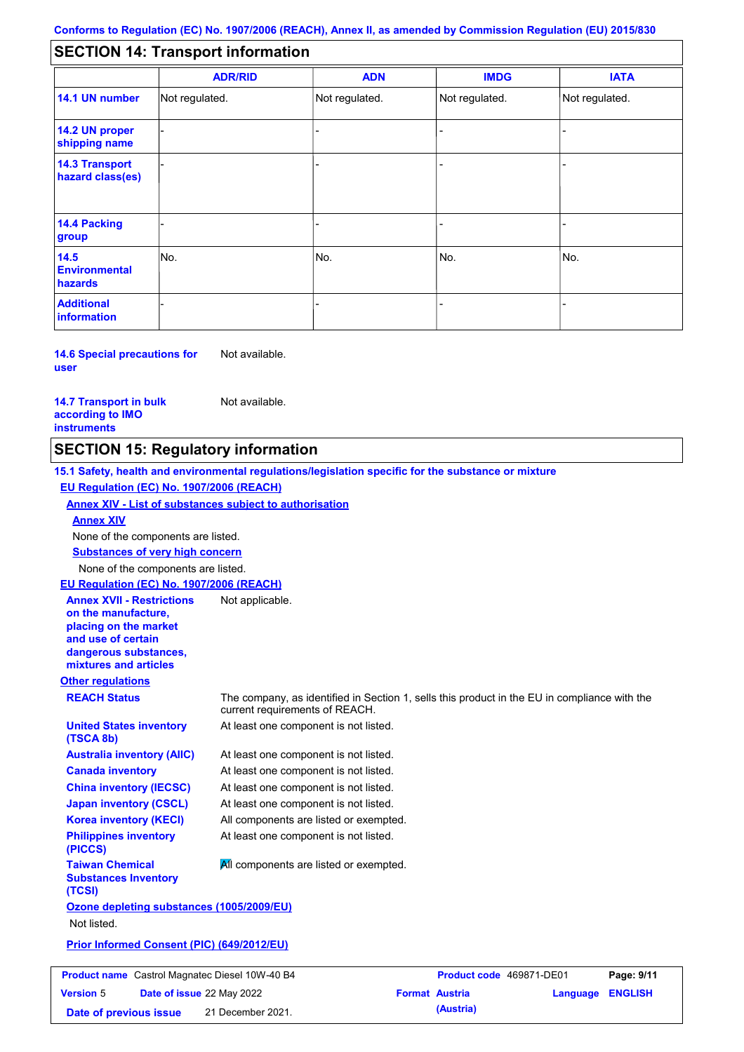#### - - - - - - - - - Not regulated. Not regulated. Not regulated. - - - **SECTION 14: Transport information ADR/RID IMDG IATA 14.1 UN number 14.2 UN proper shipping name 14.3 Transport hazard class(es) 14.4 Packing group ADN Additional information 14.5 Environmental hazards** No. 1980 | No. 1980 | No. 1980 | No. 1980 | No. 1980 | No. 1980 | No. 1980 | No. 1980 | No. 1980 | No. 1980 | Not regulated. - -<br>No. - -

**14.6 Special precautions for user** Not available.

**14.7 Transport in bulk according to IMO instruments**

Not available.

### **SECTION 15: Regulatory information**

**Other regulations REACH Status** The company, as identified in Section 1, sells this product in the EU in compliance with the current requirements of REACH. **15.1 Safety, health and environmental regulations/legislation specific for the substance or mixture EU Regulation (EC) No. 1907/2006 (REACH) Annex XIV - List of substances subject to authorisation Substances of very high concern** None of the components are listed. At least one component is not listed. At least one component is not listed. At least one component is not listed. At least one component is not listed. At least one component is not listed. All components are listed or exempted. At least one component is not listed. **United States inventory (TSCA 8b) Australia inventory (AIIC) Canada inventory China inventory (IECSC) Japan inventory (CSCL) Korea inventory (KECI) Philippines inventory (PICCS) Taiwan Chemical Substances Inventory (TCSI) All components are listed or exempted. Ozone depleting substances (1005/2009/EU)** Not listed. **Prior Informed Consent (PIC) (649/2012/EU)** None of the components are listed. **Annex XIV EU Regulation (EC) No. 1907/2006 (REACH) Annex XVII - Restrictions on the manufacture, placing on the market and use of certain dangerous substances, mixtures and articles** Not applicable. **Product name** Castrol Magnatec Diesel 10W-40 B4 **Product Code 469871-DE01 Page: 9/11 Version** 5

**Date of issue** 22 May 2022 **Format Austria Language ENGLISH Date of previous issue (Austria)** 21 December 2021.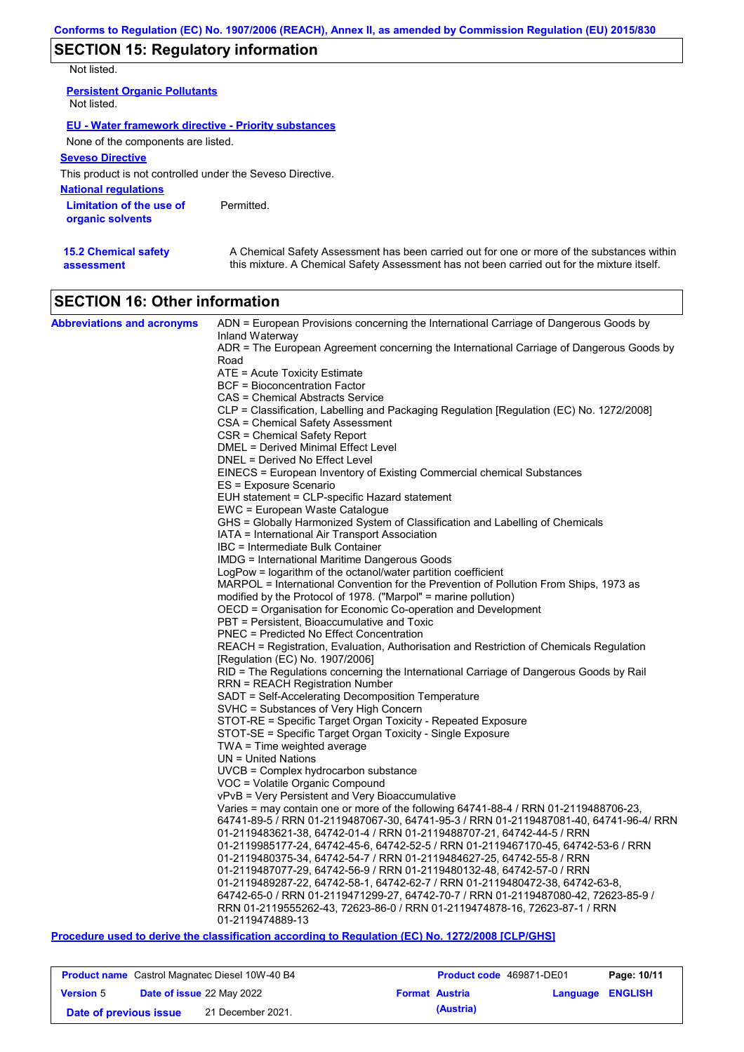# **SECTION 15: Regulatory information**

Not listed.

**15.2 Chemical safety** 

**assessment**

| <b>Persistent Organic Pollutants</b><br>Not listed.         |            |
|-------------------------------------------------------------|------------|
| <b>EU - Water framework directive - Priority substances</b> |            |
| None of the components are listed.                          |            |
| <b>Seveso Directive</b>                                     |            |
| This product is not controlled under the Seveso Directive.  |            |
| <b>National regulations</b>                                 |            |
| Limitation of the use of<br>organic solvents                | Permitted. |

A Chemical Safety Assessment has been carried out for one or more of the substances within this mixture. A Chemical Safety Assessment has not been carried out for the mixture itself.

| <b>SECTION 16: Other information</b> |  |
|--------------------------------------|--|

| <b>Abbreviations and acronyms</b> | ADN = European Provisions concerning the International Carriage of Dangerous Goods by                                                          |  |  |  |  |
|-----------------------------------|------------------------------------------------------------------------------------------------------------------------------------------------|--|--|--|--|
|                                   | Inland Waterway<br>ADR = The European Agreement concerning the International Carriage of Dangerous Goods by                                    |  |  |  |  |
|                                   | Road                                                                                                                                           |  |  |  |  |
|                                   | ATE = Acute Toxicity Estimate                                                                                                                  |  |  |  |  |
|                                   | BCF = Bioconcentration Factor                                                                                                                  |  |  |  |  |
|                                   | CAS = Chemical Abstracts Service                                                                                                               |  |  |  |  |
|                                   | CLP = Classification, Labelling and Packaging Regulation [Regulation (EC) No. 1272/2008]                                                       |  |  |  |  |
|                                   | CSA = Chemical Safety Assessment                                                                                                               |  |  |  |  |
|                                   | CSR = Chemical Safety Report                                                                                                                   |  |  |  |  |
|                                   | DMEL = Derived Minimal Effect Level                                                                                                            |  |  |  |  |
|                                   | DNEL = Derived No Effect Level                                                                                                                 |  |  |  |  |
|                                   | EINECS = European Inventory of Existing Commercial chemical Substances                                                                         |  |  |  |  |
|                                   | ES = Exposure Scenario<br>EUH statement = CLP-specific Hazard statement                                                                        |  |  |  |  |
|                                   | EWC = European Waste Catalogue                                                                                                                 |  |  |  |  |
|                                   | GHS = Globally Harmonized System of Classification and Labelling of Chemicals                                                                  |  |  |  |  |
|                                   | IATA = International Air Transport Association                                                                                                 |  |  |  |  |
|                                   | IBC = Intermediate Bulk Container                                                                                                              |  |  |  |  |
|                                   | IMDG = International Maritime Dangerous Goods                                                                                                  |  |  |  |  |
|                                   | $LogPow = logarithm$ of the octanol/water partition coefficient                                                                                |  |  |  |  |
|                                   | MARPOL = International Convention for the Prevention of Pollution From Ships, 1973 as                                                          |  |  |  |  |
|                                   | modified by the Protocol of 1978. ("Marpol" = marine pollution)                                                                                |  |  |  |  |
|                                   | OECD = Organisation for Economic Co-operation and Development                                                                                  |  |  |  |  |
|                                   | PBT = Persistent, Bioaccumulative and Toxic                                                                                                    |  |  |  |  |
|                                   | <b>PNEC</b> = Predicted No Effect Concentration                                                                                                |  |  |  |  |
|                                   | REACH = Registration, Evaluation, Authorisation and Restriction of Chemicals Regulation                                                        |  |  |  |  |
|                                   | [Regulation (EC) No. 1907/2006]                                                                                                                |  |  |  |  |
|                                   | RID = The Regulations concerning the International Carriage of Dangerous Goods by Rail<br>RRN = REACH Registration Number                      |  |  |  |  |
|                                   | SADT = Self-Accelerating Decomposition Temperature                                                                                             |  |  |  |  |
|                                   | SVHC = Substances of Very High Concern                                                                                                         |  |  |  |  |
|                                   | STOT-RE = Specific Target Organ Toxicity - Repeated Exposure                                                                                   |  |  |  |  |
|                                   | STOT-SE = Specific Target Organ Toxicity - Single Exposure                                                                                     |  |  |  |  |
|                                   | $TWA = Time$ weighted average                                                                                                                  |  |  |  |  |
|                                   | $UN = United Nations$                                                                                                                          |  |  |  |  |
|                                   | UVCB = Complex hydrocarbon substance                                                                                                           |  |  |  |  |
|                                   | VOC = Volatile Organic Compound                                                                                                                |  |  |  |  |
|                                   | vPvB = Very Persistent and Very Bioaccumulative                                                                                                |  |  |  |  |
|                                   | Varies = may contain one or more of the following 64741-88-4 / RRN 01-2119488706-23,                                                           |  |  |  |  |
|                                   | 64741-89-5 / RRN 01-2119487067-30, 64741-95-3 / RRN 01-2119487081-40, 64741-96-4/ RRN                                                          |  |  |  |  |
|                                   | 01-2119483621-38, 64742-01-4 / RRN 01-2119488707-21, 64742-44-5 / RRN                                                                          |  |  |  |  |
|                                   | 01-2119985177-24, 64742-45-6, 64742-52-5 / RRN 01-2119467170-45, 64742-53-6 / RRN                                                              |  |  |  |  |
|                                   | 01-2119480375-34, 64742-54-7 / RRN 01-2119484627-25, 64742-55-8 / RRN<br>01-2119487077-29, 64742-56-9 / RRN 01-2119480132-48, 64742-57-0 / RRN |  |  |  |  |
|                                   | 01-2119489287-22, 64742-58-1, 64742-62-7 / RRN 01-2119480472-38, 64742-63-8,                                                                   |  |  |  |  |
|                                   | 64742-65-0 / RRN 01-2119471299-27, 64742-70-7 / RRN 01-2119487080-42, 72623-85-9 /                                                             |  |  |  |  |
|                                   | RRN 01-2119555262-43, 72623-86-0 / RRN 01-2119474878-16, 72623-87-1 / RRN                                                                      |  |  |  |  |
|                                   | 01-2119474889-13                                                                                                                               |  |  |  |  |

### **Procedure used to derive the classification according to Regulation (EC) No. 1272/2008 [CLP/GHS]**

| <b>Product name</b> Castrol Magnatec Diesel 10W-40 B4 |                                  | <b>Product code</b> 469871-DE01 |                       | Page: 10/11 |                         |  |
|-------------------------------------------------------|----------------------------------|---------------------------------|-----------------------|-------------|-------------------------|--|
| <b>Version 5</b>                                      | <b>Date of issue 22 May 2022</b> |                                 | <b>Format Austria</b> |             | <b>Language ENGLISH</b> |  |
| Date of previous issue                                |                                  | 21 December 2021.               |                       | (Austria)   |                         |  |